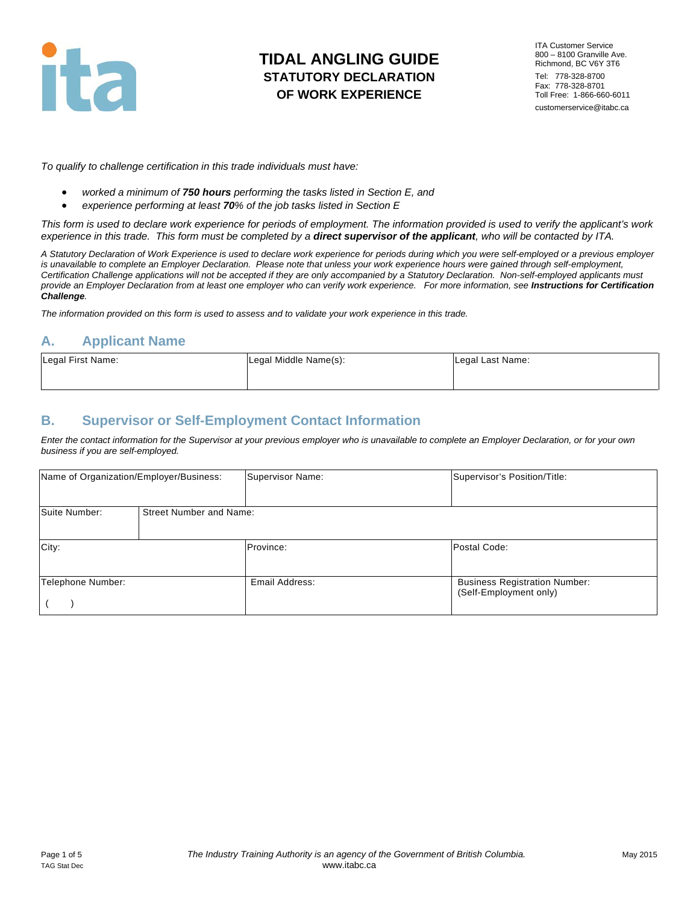

ITA Customer Service 800 – 8100 Granville Ave. Richmond, BC V6Y 3T6 Tel: 778-328-8700 Fax: 778-328-8701 Toll Free: 1-866-660-6011 customerservice@itabc.ca

*To qualify to challenge certification in this trade individuals must have:*

- *worked a minimum of 750 hours performing the tasks listed in Section E, and*
- *experience performing at least 70% of the job tasks listed in Section E*

*This form is used to declare work experience for periods of employment. The information provided is used to verify the applicant's work experience in this trade. This form must be completed by a direct supervisor of the applicant, who will be contacted by ITA.*

*A Statutory Declaration of Work Experience is used to declare work experience for periods during which you were self-employed or a previous employer*  is unavailable to complete an Employer Declaration. Please note that unless your work experience hours were gained through self-employment, *Certification Challenge applications will not be accepted if they are only accompanied by a Statutory Declaration. Non-self-employed applicants must provide an Employer Declaration from at least one employer who can verify work experience. For more information, see Instructions for Certification Challenge.*

*The information provided on this form is used to assess and to validate your work experience in this trade.* 

### **A. Applicant Name**

| Legal First Name: | Legal Middle Name(s): | Legal Last Name: |
|-------------------|-----------------------|------------------|
|                   |                       |                  |

## **B. Supervisor or Self-Employment Contact Information**

*Enter the contact information for the Supervisor at your previous employer who is unavailable to complete an Employer Declaration, or for your own business if you are self-employed.*

| Name of Organization/Employer/Business: |                                | Supervisor Name: | Supervisor's Position/Title:                                   |
|-----------------------------------------|--------------------------------|------------------|----------------------------------------------------------------|
| Suite Number:                           | <b>Street Number and Name:</b> |                  |                                                                |
| City:                                   |                                | Province:        | Postal Code:                                                   |
| Telephone Number:                       |                                | Email Address:   | <b>Business Registration Number:</b><br>(Self-Employment only) |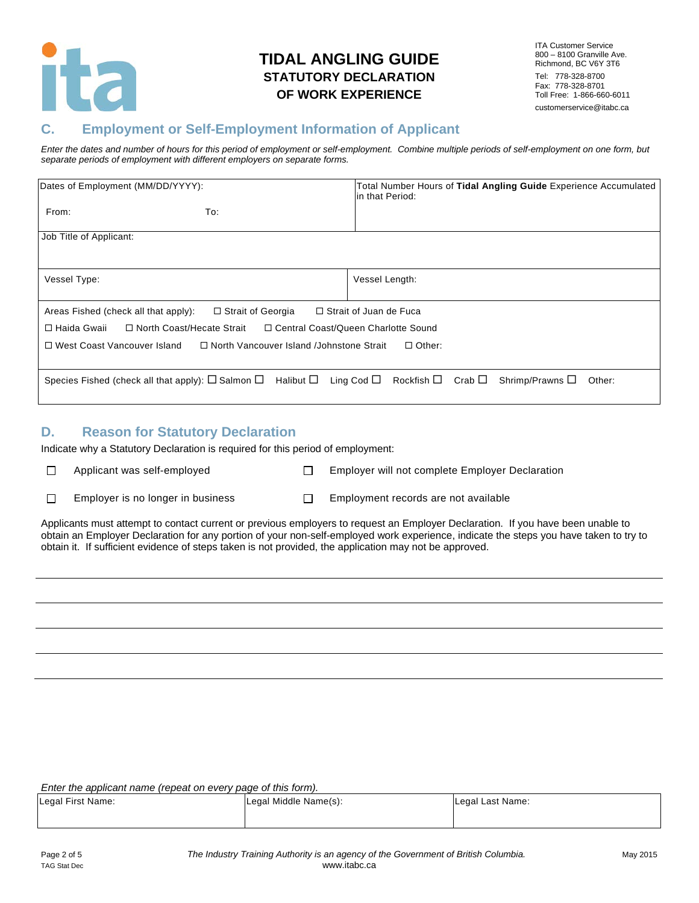

ITA Customer Service 800 – 8100 Granville Ave. Richmond, BC V6Y 3T6 Tel: 778-328-8700 Fax: 778-328-8701 Toll Free: 1-866-660-6011 customerservice@itabc.ca

## **C. Employment or Self-Employment Information of Applicant**

*Enter the dates and number of hours for this period of employment or self-employment. Combine multiple periods of self-employment on one form, but separate periods of employment with different employers on separate forms.*

| Dates of Employment (MM/DD/YYYY):                                                                                                                                |                                                                                                      | Total Number Hours of Tidal Angling Guide Experience Accumulated<br>lin that Period: |        |
|------------------------------------------------------------------------------------------------------------------------------------------------------------------|------------------------------------------------------------------------------------------------------|--------------------------------------------------------------------------------------|--------|
| From:                                                                                                                                                            | To:                                                                                                  |                                                                                      |        |
| Job Title of Applicant:                                                                                                                                          |                                                                                                      |                                                                                      |        |
| Vessel Type:                                                                                                                                                     |                                                                                                      | Vessel Length:                                                                       |        |
| Areas Fished (check all that apply):<br>□ Haida Gwaii<br>□ North Coast/Hecate Strait<br>□ West Coast Vancouver Island                                            | $\Box$ Strait of Georgia $\Box$ Strait of Juan de Fuca<br>□ North Vancouver Island /Johnstone Strait | □ Central Coast/Queen Charlotte Sound<br>$\Box$ Other:                               |        |
| Species Fished (check all that apply): $\square$ Salmon $\square$ Halibut $\square$ Ling Cod $\square$ Rockfish $\square$ Crab $\square$ Shrimp/Prawns $\square$ |                                                                                                      |                                                                                      | Other: |

### **D. Reason for Statutory Declaration**

Indicate why a Statutory Declaration is required for this period of employment:

 $\Box$ 

- Applicant was self-employed  $\square$  Employer will not complete Employer Declaration
- $\Box$
- Employer is no longer in business  $\Box$  Employment records are not available

Applicants must attempt to contact current or previous employers to request an Employer Declaration. If you have been unable to obtain an Employer Declaration for any portion of your non-self-employed work experience, indicate the steps you have taken to try to obtain it. If sufficient evidence of steps taken is not provided, the application may not be approved.

| Legal First Name: | Legal Middle Name(s): | Legal Last Name: |
|-------------------|-----------------------|------------------|
|                   |                       |                  |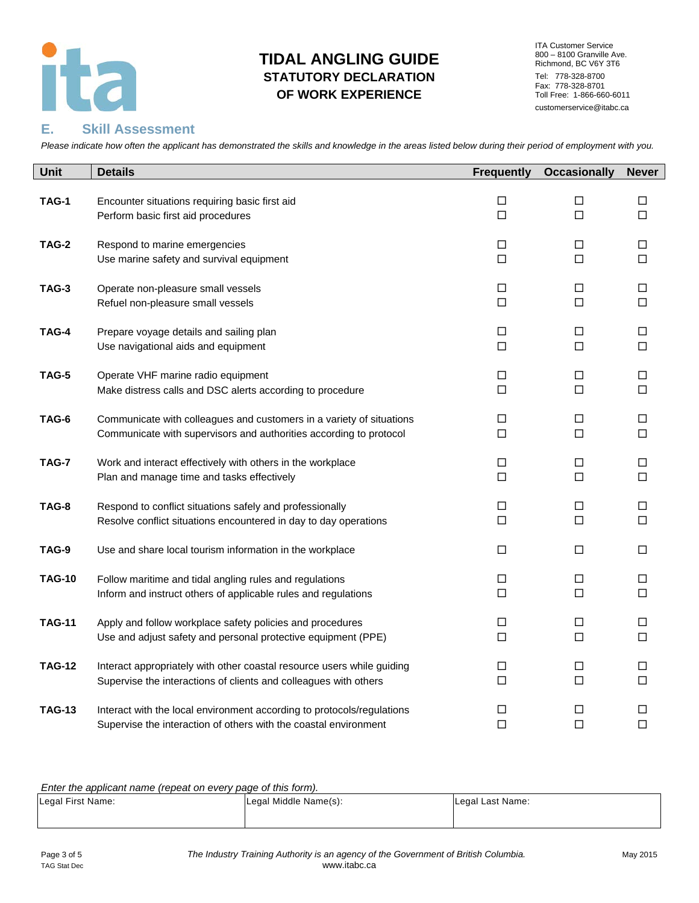

ITA Customer Service 800 – 8100 Granville Ave. Richmond, BC V6Y 3T6 Tel: 778-328-8700 Fax: 778-328-8701 Toll Free: 1-866-660-6011 customerservice@itabc.ca

#### **E. Skill Assessment**

*Please indicate how often the applicant has demonstrated the skills and knowledge in the areas listed below during their period of employment with you.*

| Unit          | <b>Details</b>                                                         | <b>Frequently</b> | <b>Occasionally</b> | <b>Never</b> |
|---------------|------------------------------------------------------------------------|-------------------|---------------------|--------------|
| TAG-1         | Encounter situations requiring basic first aid                         | □                 | □                   | □            |
|               | Perform basic first aid procedures                                     | $\Box$            | $\Box$              | $\Box$       |
| TAG-2         | Respond to marine emergencies                                          | □                 | □                   | $\Box$       |
|               | Use marine safety and survival equipment                               | $\Box$            | $\Box$              | □            |
| <b>TAG-3</b>  | Operate non-pleasure small vessels                                     | □                 | □                   | □            |
|               | Refuel non-pleasure small vessels                                      | □                 | □                   | □            |
| TAG-4         | Prepare voyage details and sailing plan                                | □                 | □                   | □            |
|               | Use navigational aids and equipment                                    | $\Box$            | □                   | □            |
| TAG-5         | Operate VHF marine radio equipment                                     | □                 | □                   | □            |
|               | Make distress calls and DSC alerts according to procedure              | $\Box$            | $\Box$              | $\Box$       |
| TAG-6         | Communicate with colleagues and customers in a variety of situations   | □                 | □                   | □            |
|               | Communicate with supervisors and authorities according to protocol     | $\Box$            | $\Box$              | □            |
| TAG-7         | Work and interact effectively with others in the workplace             | □                 | □                   | □            |
|               | Plan and manage time and tasks effectively                             | □                 | □                   | □            |
| TAG-8         | Respond to conflict situations safely and professionally               | □                 | □                   | □            |
|               | Resolve conflict situations encountered in day to day operations       | □                 | □                   | □            |
| TAG-9         | Use and share local tourism information in the workplace               | □                 | $\Box$              | $\Box$       |
| <b>TAG-10</b> | Follow maritime and tidal angling rules and regulations                | □                 | $\Box$              | □            |
|               | Inform and instruct others of applicable rules and regulations         | □                 | $\Box$              | □            |
| <b>TAG-11</b> | Apply and follow workplace safety policies and procedures              | □                 | □                   | □            |
|               | Use and adjust safety and personal protective equipment (PPE)          | □                 | $\Box$              | □            |
| <b>TAG-12</b> | Interact appropriately with other coastal resource users while guiding | □                 | □                   | □            |
|               | Supervise the interactions of clients and colleagues with others       | П                 | $\Box$              | □            |
| <b>TAG-13</b> | Interact with the local environment according to protocols/regulations | □                 | □                   | □            |
|               | Supervise the interaction of others with the coastal environment       | П                 | $\Box$              | $\Box$       |

| $\mathbf{L}$ and applicable hanno popole on over $\boldsymbol{y}$ page of end form $\boldsymbol{y}$ . |                       |                  |
|-------------------------------------------------------------------------------------------------------|-----------------------|------------------|
| Legal First Name:                                                                                     | Legal Middle Name(s): | Legal Last Name: |
|                                                                                                       |                       |                  |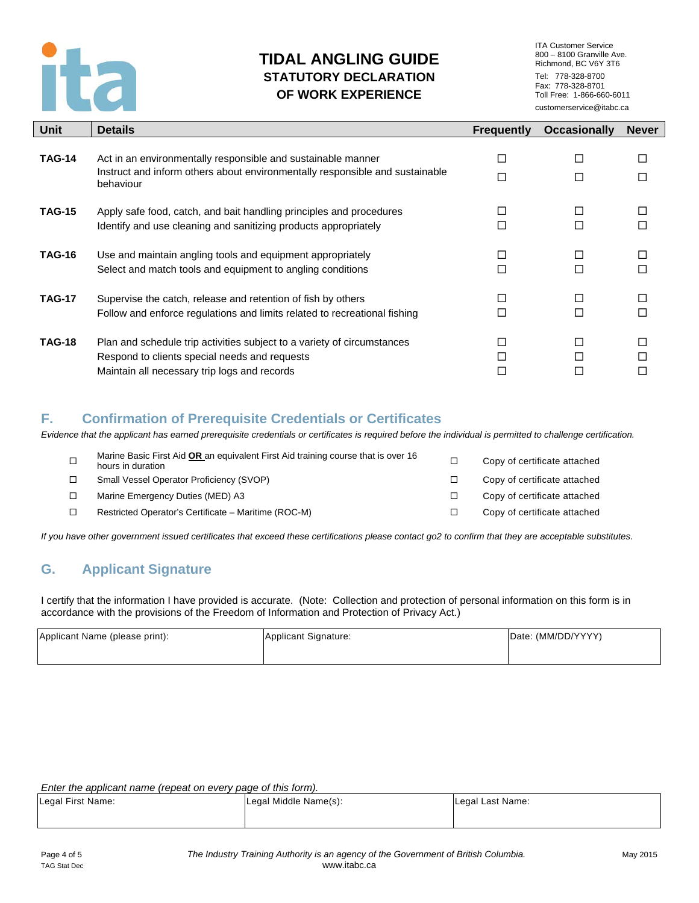

ITA Customer Service 800 – 8100 Granville Ave. Richmond, BC V6Y 3T6 Tel: 778-328-8700 Fax: 778-328-8701 Toll Free: 1-866-660-6011 customerservice@itabc.ca

| Unit          | <b>Details</b>                                                                                                                                                           | <b>Frequently</b> | <b>Occasionally</b> | <b>Never</b> |
|---------------|--------------------------------------------------------------------------------------------------------------------------------------------------------------------------|-------------------|---------------------|--------------|
| <b>TAG-14</b> | Act in an environmentally responsible and sustainable manner<br>Instruct and inform others about environmentally responsible and sustainable<br>behaviour                | ш                 | П                   |              |
| <b>TAG-15</b> | Apply safe food, catch, and bait handling principles and procedures<br>Identify and use cleaning and sanitizing products appropriately                                   |                   |                     |              |
| <b>TAG-16</b> | Use and maintain angling tools and equipment appropriately<br>Select and match tools and equipment to angling conditions                                                 |                   |                     |              |
| <b>TAG-17</b> | Supervise the catch, release and retention of fish by others<br>Follow and enforce regulations and limits related to recreational fishing                                |                   |                     |              |
| <b>TAG-18</b> | Plan and schedule trip activities subject to a variety of circumstances<br>Respond to clients special needs and requests<br>Maintain all necessary trip logs and records |                   | П                   |              |

### **F. Confirmation of Prerequisite Credentials or Certificates**

*Evidence that the applicant has earned prerequisite credentials or certificates is required before the individual is permitted to challenge certification.* 

| $\Box$ | Marine Basic First Aid OR an equivalent First Aid training course that is over 16<br>hours in duration | □ | Copy of certificate attached |
|--------|--------------------------------------------------------------------------------------------------------|---|------------------------------|
|        | Small Vessel Operator Proficiency (SVOP)                                                               |   | Copy of certificate attached |
|        | Marine Emergency Duties (MED) A3                                                                       |   | Copy of certificate attached |
|        | Restricted Operator's Certificate - Maritime (ROC-M)                                                   |   | Copy of certificate attached |
|        |                                                                                                        |   |                              |

*If you have other government issued certificates that exceed these certifications please contact go2 to confirm that they are acceptable substitutes.*

# **G. Applicant Signature**

I certify that the information I have provided is accurate. (Note: Collection and protection of personal information on this form is in accordance with the provisions of the Freedom of Information and Protection of Privacy Act.)

| Applicant Name (please print): | Applicant Signature: | Date: (MM/DD/YYYY) |
|--------------------------------|----------------------|--------------------|
|                                |                      |                    |

| Legal First Name: | Legal Middle Name(s): | Legal Last Name: |
|-------------------|-----------------------|------------------|
|                   |                       |                  |
|                   |                       |                  |
|                   |                       |                  |